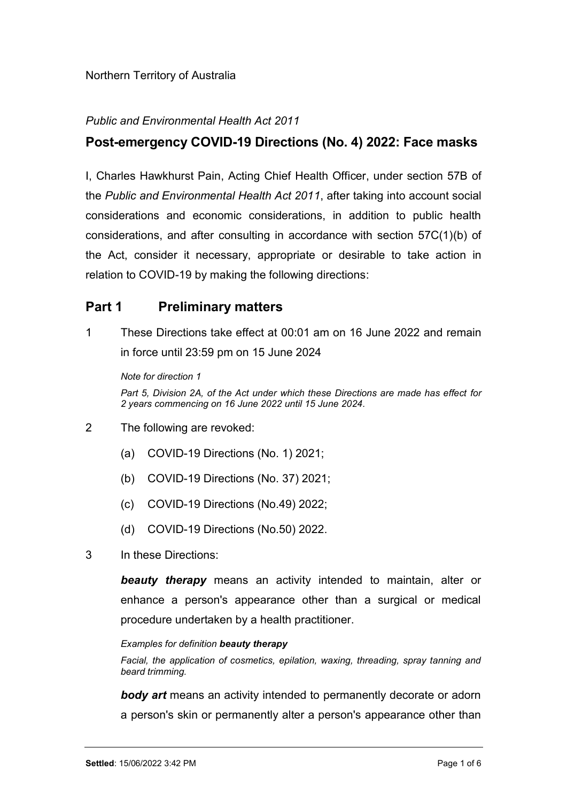### Public and Environmental Health Act 2011

## Post-emergency COVID-19 Directions (No. 4) 2022: Face masks

I, Charles Hawkhurst Pain, Acting Chief Health Officer, under section 57B of the Public and Environmental Health Act 2011, after taking into account social considerations and economic considerations, in addition to public health considerations, and after consulting in accordance with section 57C(1)(b) of the Act, consider it necessary, appropriate or desirable to take action in relation to COVID-19 by making the following directions:

## Part 1 Preliminary matters

1 These Directions take effect at 00:01 am on 16 June 2022 and remain in force until 23:59 pm on 15 June 2024

Note for direction 1 Part 5, Division 2A, of the Act under which these Directions are made has effect for 2 years commencing on 16 June 2022 until 15 June 2024.

- 2 The following are revoked:
	- (a) COVID-19 Directions (No. 1) 2021;
	- (b) COVID-19 Directions (No. 37) 2021;
	- (c) COVID-19 Directions (No.49) 2022;
	- (d) COVID-19 Directions (No.50) 2022.
- 3 In these Directions:

**beauty therapy** means an activity intended to maintain, alter or enhance a person's appearance other than a surgical or medical procedure undertaken by a health practitioner.

#### Examples for definition beauty therapy

Facial, the application of cosmetics, epilation, waxing, threading, spray tanning and beard trimming.

**body art** means an activity intended to permanently decorate or adorn a person's skin or permanently alter a person's appearance other than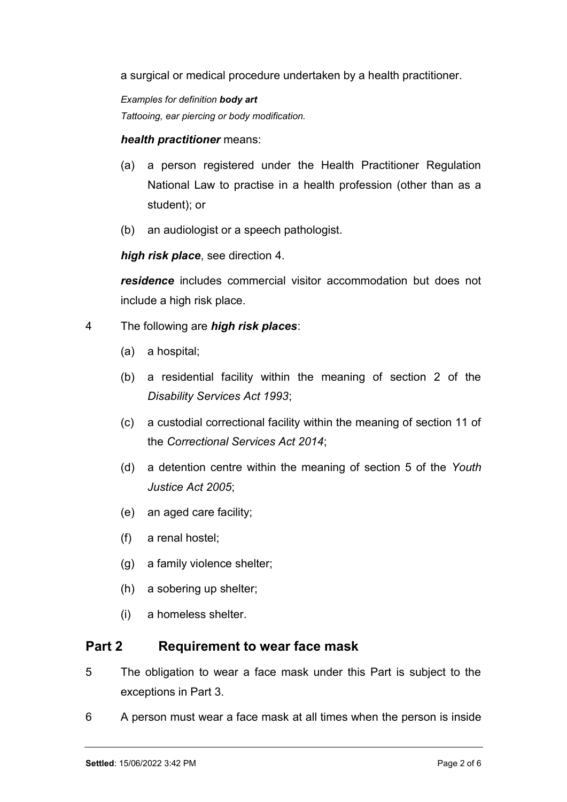a surgical or medical procedure undertaken by a health practitioner.

Examples for definition body art Tattooing, ear piercing or body modification.

#### health practitioner means:

- (a) a person registered under the Health Practitioner Regulation National Law to practise in a health profession (other than as a student); or
- (b) an audiologist or a speech pathologist.

high risk place, see direction 4.

residence includes commercial visitor accommodation but does not include a high risk place.

- 4 The following are *high risk places*:
	- (a) a hospital;
	- (b) a residential facility within the meaning of section 2 of the Disability Services Act 1993;
	- (c) a custodial correctional facility within the meaning of section 11 of the Correctional Services Act 2014;
	- (d) a detention centre within the meaning of section 5 of the Youth Justice Act 2005;
	- (e) an aged care facility;
	- (f) a renal hostel;
	- (g) a family violence shelter;
	- (h) a sobering up shelter;
	- (i) a homeless shelter.

## Part 2 Requirement to wear face mask

- 5 The obligation to wear a face mask under this Part is subject to the exceptions in Part 3.
- 6 A person must wear a face mask at all times when the person is inside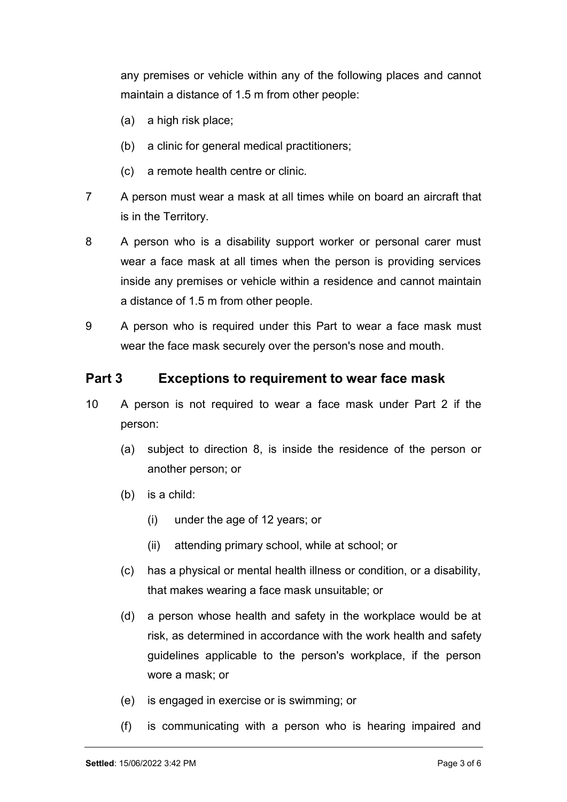any premises or vehicle within any of the following places and cannot maintain a distance of 1.5 m from other people:

- (a) a high risk place;
- (b) a clinic for general medical practitioners;
- (c) a remote health centre or clinic.
- 7 A person must wear a mask at all times while on board an aircraft that is in the Territory.
- 8 A person who is a disability support worker or personal carer must wear a face mask at all times when the person is providing services inside any premises or vehicle within a residence and cannot maintain a distance of 1.5 m from other people.
- 9 A person who is required under this Part to wear a face mask must wear the face mask securely over the person's nose and mouth.

### Part 3 Exceptions to requirement to wear face mask

- 10 A person is not required to wear a face mask under Part 2 if the person:
	- (a) subject to direction 8, is inside the residence of the person or another person; or
	- (b) is a child:
		- (i) under the age of 12 years; or
		- (ii) attending primary school, while at school; or
	- (c) has a physical or mental health illness or condition, or a disability, that makes wearing a face mask unsuitable; or
	- (d) a person whose health and safety in the workplace would be at risk, as determined in accordance with the work health and safety guidelines applicable to the person's workplace, if the person wore a mask; or
	- (e) is engaged in exercise or is swimming; or
	- (f) is communicating with a person who is hearing impaired and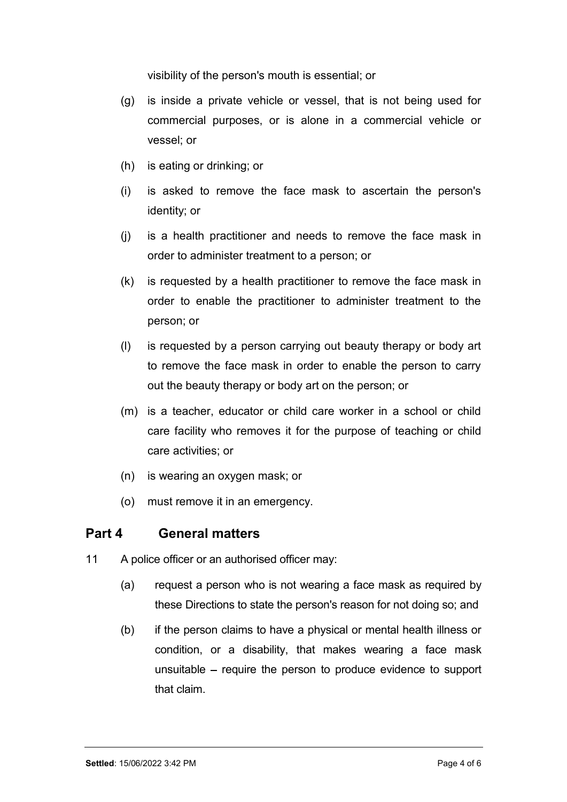visibility of the person's mouth is essential; or

- (g) is inside a private vehicle or vessel, that is not being used for commercial purposes, or is alone in a commercial vehicle or vessel; or
- (h) is eating or drinking; or
- (i) is asked to remove the face mask to ascertain the person's identity; or
- (j) is a health practitioner and needs to remove the face mask in order to administer treatment to a person; or
- (k) is requested by a health practitioner to remove the face mask in order to enable the practitioner to administer treatment to the person; or
- (l) is requested by a person carrying out beauty therapy or body art to remove the face mask in order to enable the person to carry out the beauty therapy or body art on the person; or
- (m) is a teacher, educator or child care worker in a school or child care facility who removes it for the purpose of teaching or child care activities; or
- (n) is wearing an oxygen mask; or
- (o) must remove it in an emergency.

## Part 4 General matters

- 11 A police officer or an authorised officer may:
	- (a) request a person who is not wearing a face mask as required by these Directions to state the person's reason for not doing so; and
	- (b) if the person claims to have a physical or mental health illness or condition, or a disability, that makes wearing a face mask unsuitable  $-$  require the person to produce evidence to support that claim.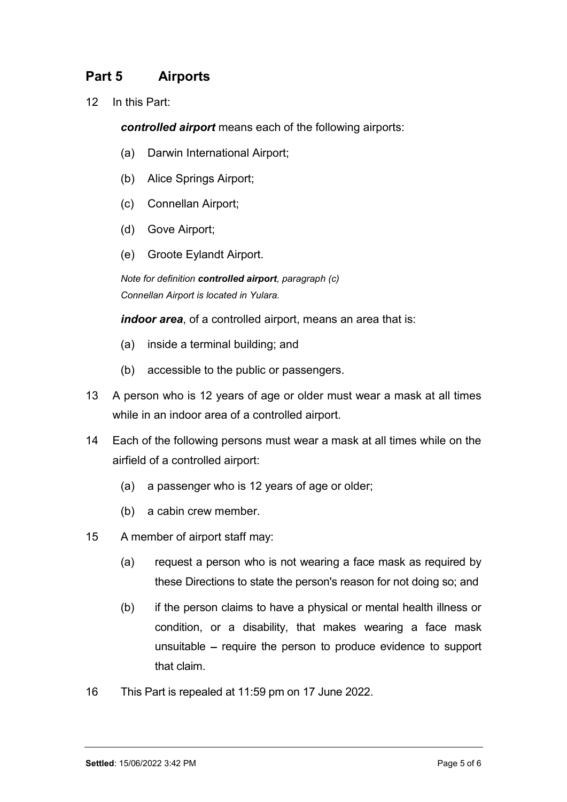# Part 5 Airports

12 In this Part:

controlled airport means each of the following airports:

- (a) Darwin International Airport;
- (b) Alice Springs Airport;
- (c) Connellan Airport;
- (d) Gove Airport;
- (e) Groote Eylandt Airport.

Note for definition controlled airport, paragraph (c) Connellan Airport is located in Yulara.

indoor area, of a controlled airport, means an area that is:

- (a) inside a terminal building; and
- (b) accessible to the public or passengers.
- 13 A person who is 12 years of age or older must wear a mask at all times while in an indoor area of a controlled airport.
- 14 Each of the following persons must wear a mask at all times while on the airfield of a controlled airport:
	- (a) a passenger who is 12 years of age or older;
	- (b) a cabin crew member.
- 15 A member of airport staff may:
	- (a) request a person who is not wearing a face mask as required by these Directions to state the person's reason for not doing so; and
	- (b) if the person claims to have a physical or mental health illness or condition, or a disability, that makes wearing a face mask unsuitable  $-$  require the person to produce evidence to support that claim.
- 16 This Part is repealed at 11:59 pm on 17 June 2022.